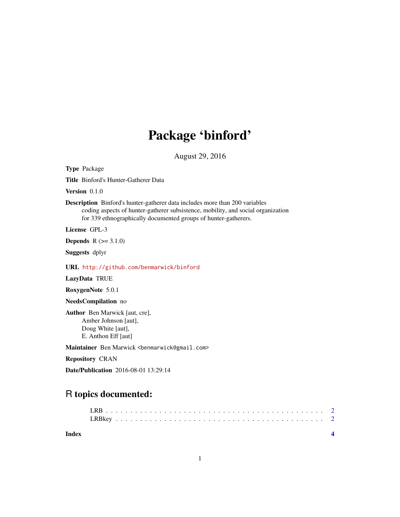## Package 'binford'

August 29, 2016

Type Package

Title Binford's Hunter-Gatherer Data

Version 0.1.0

Description Binford's hunter-gatherer data includes more than 200 variables coding aspects of hunter-gatherer subsistence, mobility, and social organization for 339 ethnographically documented groups of hunter-gatherers.

License GPL-3

**Depends**  $R (= 3.1.0)$ 

Suggests dplyr

URL <http://github.com/benmarwick/binford>

LazyData TRUE

RoxygenNote 5.0.1

#### NeedsCompilation no

Author Ben Marwick [aut, cre], Amber Johnson [aut], Doug White [aut], E. Anthon Eff [aut]

Maintainer Ben Marwick <benmarwick@gmail.com>

Repository CRAN

Date/Publication 2016-08-01 13:29:14

### R topics documented:

| Index |  |  |  |  |  |  |  |  |  |  |  |  |  |  |  |  |  |  |  |
|-------|--|--|--|--|--|--|--|--|--|--|--|--|--|--|--|--|--|--|--|
|       |  |  |  |  |  |  |  |  |  |  |  |  |  |  |  |  |  |  |  |
|       |  |  |  |  |  |  |  |  |  |  |  |  |  |  |  |  |  |  |  |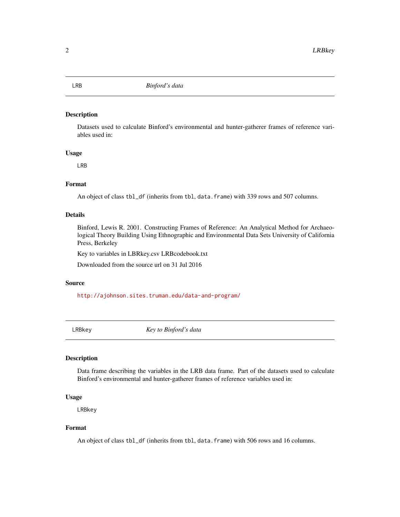#### Description

Datasets used to calculate Binford's environmental and hunter-gatherer frames of reference variables used in:

#### Usage

LRB

#### Format

An object of class tbl\_df (inherits from tbl, data.frame) with 339 rows and 507 columns.

#### Details

Binford, Lewis R. 2001. Constructing Frames of Reference: An Analytical Method for Archaeological Theory Building Using Ethnographic and Environmental Data Sets University of California Press, Berkeley

Key to variables in LBRkey.csv LRBcodebook.txt

Downloaded from the source url on 31 Jul 2016

#### Source

<http://ajohnson.sites.truman.edu/data-and-program/>

LRBkey *Key to Binford's data*

#### Description

Data frame describing the variables in the LRB data frame. Part of the datasets used to calculate Binford's environmental and hunter-gatherer frames of reference variables used in:

#### Usage

LRBkey

#### Format

An object of class tbl\_df (inherits from tbl, data.frame) with 506 rows and 16 columns.

<span id="page-1-0"></span>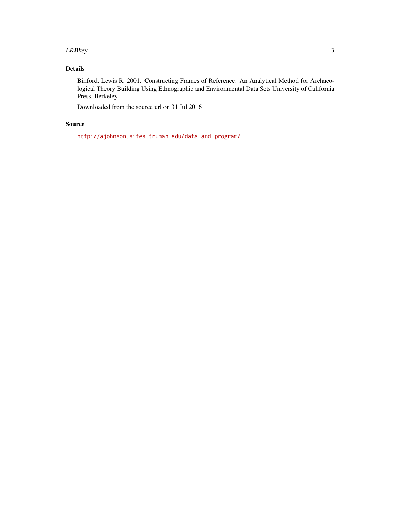#### LRBkey 3

#### Details

Binford, Lewis R. 2001. Constructing Frames of Reference: An Analytical Method for Archaeological Theory Building Using Ethnographic and Environmental Data Sets University of California Press, Berkeley

Downloaded from the source url on 31 Jul 2016

#### Source

<http://ajohnson.sites.truman.edu/data-and-program/>